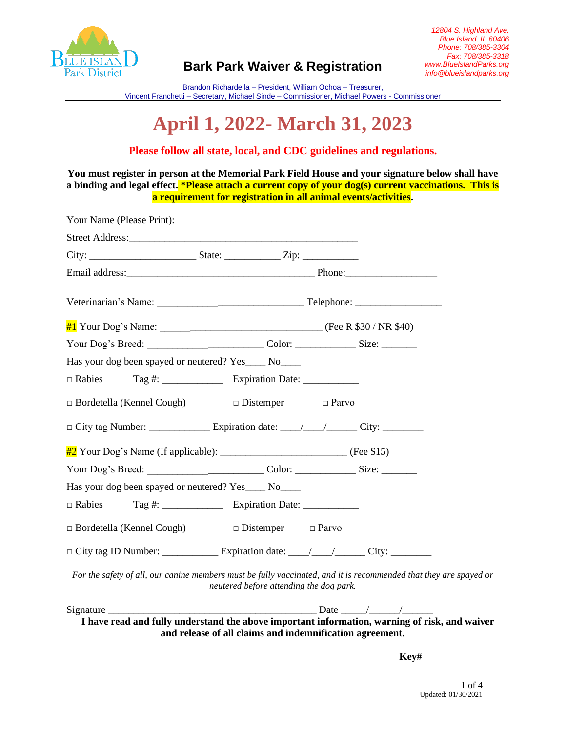

Brandon Richardella – President, William Ochoa – Treasurer, Vincent Franchetti – Secretary, Michael Sinde – Commissioner, Michael Powers - Commissioner

# **April 1, 2022- March 31, 2023**

### **Please follow all state, local, and CDC guidelines and regulations.**

**You must register in person at the Memorial Park Field House and your signature below shall have a binding and legal effect. \*Please attach a current copy of your dog(s) current vaccinations. This is a requirement for registration in all animal events/activities.**

| Has your dog been spayed or neutered? Yes_____ No____                                                             |                                         |  |  |
|-------------------------------------------------------------------------------------------------------------------|-----------------------------------------|--|--|
|                                                                                                                   |                                         |  |  |
| $\Box$ Bordetella (Kennel Cough) $\Box$ Distemper $\Box$ Parvo                                                    |                                         |  |  |
|                                                                                                                   |                                         |  |  |
| $\frac{\#2}{\#2}$ Your Dog's Name (If applicable): __________________________________ (Fee \$15)                  |                                         |  |  |
|                                                                                                                   |                                         |  |  |
| Has your dog been spayed or neutered? Yes____ No____                                                              |                                         |  |  |
|                                                                                                                   |                                         |  |  |
| $\Box$ Bordetella (Kennel Cough)                                                                                  | $\Box$ Distemper $\Box$ Parvo           |  |  |
|                                                                                                                   |                                         |  |  |
| For the safety of all, our canine members must be fully vaccinated, and it is recommended that they are spayed or | neutered before attending the dog park. |  |  |
|                                                                                                                   |                                         |  |  |
| I have read and fully understand the above important information, warning of risk, and waiver                     |                                         |  |  |

**and release of all claims and indemnification agreement.** 

**Key#**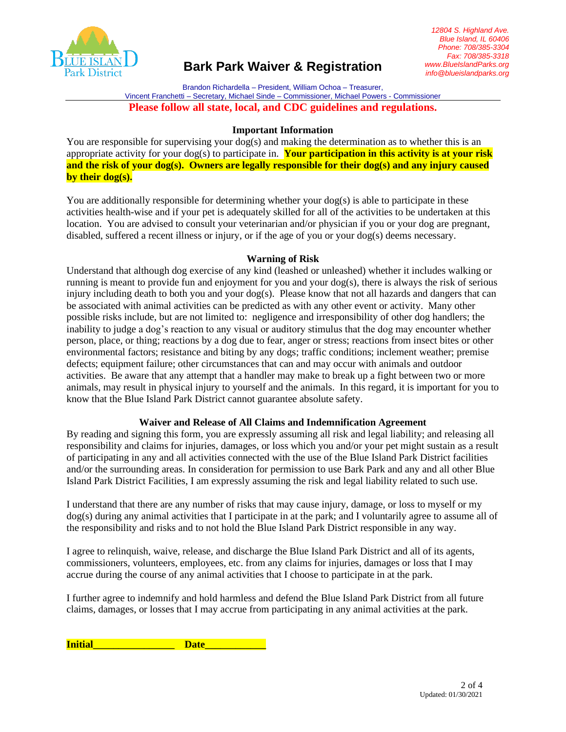

Brandon Richardella – President, William Ochoa – Treasurer, Vincent Franchetti – Secretary, Michael Sinde – Commissioner, Michael Powers - Commissioner **Please follow all state, local, and CDC guidelines and regulations.**

#### **Important Information**

You are responsible for supervising your  $log(s)$  and making the determination as to whether this is an appropriate activity for your dog(s) to participate in. **Your participation in this activity is at your risk and the risk of your dog(s). Owners are legally responsible for their dog(s) and any injury caused by their dog(s).**

You are additionally responsible for determining whether your  $\log(s)$  is able to participate in these activities health-wise and if your pet is adequately skilled for all of the activities to be undertaken at this location. You are advised to consult your veterinarian and/or physician if you or your dog are pregnant, disabled, suffered a recent illness or injury, or if the age of you or your dog(s) deems necessary.

#### **Warning of Risk**

Understand that although dog exercise of any kind (leashed or unleashed) whether it includes walking or running is meant to provide fun and enjoyment for you and your dog(s), there is always the risk of serious injury including death to both you and your  $\log(s)$ . Please know that not all hazards and dangers that can be associated with animal activities can be predicted as with any other event or activity. Many other possible risks include, but are not limited to: negligence and irresponsibility of other dog handlers; the inability to judge a dog's reaction to any visual or auditory stimulus that the dog may encounter whether person, place, or thing; reactions by a dog due to fear, anger or stress; reactions from insect bites or other environmental factors; resistance and biting by any dogs; traffic conditions; inclement weather; premise defects; equipment failure; other circumstances that can and may occur with animals and outdoor activities. Be aware that any attempt that a handler may make to break up a fight between two or more animals, may result in physical injury to yourself and the animals. In this regard, it is important for you to know that the Blue Island Park District cannot guarantee absolute safety.

#### **Waiver and Release of All Claims and Indemnification Agreement**

By reading and signing this form, you are expressly assuming all risk and legal liability; and releasing all responsibility and claims for injuries, damages, or loss which you and/or your pet might sustain as a result of participating in any and all activities connected with the use of the Blue Island Park District facilities and/or the surrounding areas. In consideration for permission to use Bark Park and any and all other Blue Island Park District Facilities, I am expressly assuming the risk and legal liability related to such use.

I understand that there are any number of risks that may cause injury, damage, or loss to myself or my dog(s) during any animal activities that I participate in at the park; and I voluntarily agree to assume all of the responsibility and risks and to not hold the Blue Island Park District responsible in any way.

I agree to relinquish, waive, release, and discharge the Blue Island Park District and all of its agents, commissioners, volunteers, employees, etc. from any claims for injuries, damages or loss that I may accrue during the course of any animal activities that I choose to participate in at the park.

I further agree to indemnify and hold harmless and defend the Blue Island Park District from all future claims, damages, or losses that I may accrue from participating in any animal activities at the park.

**Initial Date**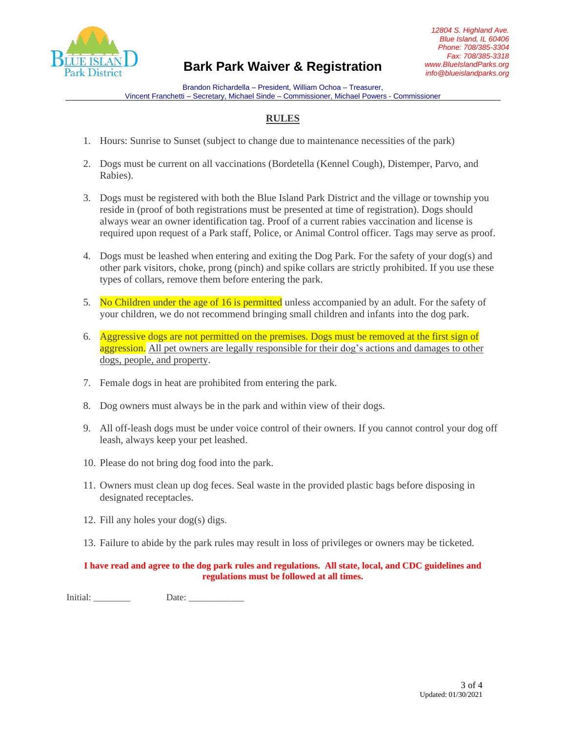

Brandon Richardella – President, William Ochoa – Treasurer, Vincent Franchetti – Secretary, Michael Sinde – Commissioner, Michael Powers - Commissioner

## **RULES**

- 1. Hours: Sunrise to Sunset (subject to change due to maintenance necessities of the park)
- 2. Dogs must be current on all vaccinations (Bordetella (Kennel Cough), Distemper, Parvo, and Rabies).
- 3. Dogs must be registered with both the Blue Island Park District and the village or township you reside in (proof of both registrations must be presented at time of registration). Dogs should always wear an owner identification tag. Proof of a current rabies vaccination and license is required upon request of a Park staff, Police, or Animal Control officer. Tags may serve as proof.
- 4. Dogs must be leashed when entering and exiting the Dog Park. For the safety of your dog(s) and other park visitors, choke, prong (pinch) and spike collars are strictly prohibited. If you use these types of collars, remove them before entering the park.
- 5. No Children under the age of 16 is permitted unless accompanied by an adult. For the safety of your children, we do not recommend bringing small children and infants into the dog park.
- 6. Aggressive dogs are not permitted on the premises. Dogs must be removed at the first sign of aggression. All pet owners are legally responsible for their dog's actions and damages to other dogs, people, and property.
- 7. Female dogs in heat are prohibited from entering the park.
- 8. Dog owners must always be in the park and within view of their dogs.
- 9. All off-leash dogs must be under voice control of their owners. If you cannot control your dog off leash, always keep your pet leashed.
- 10. Please do not bring dog food into the park.
- 11. Owners must clean up dog feces. Seal waste in the provided plastic bags before disposing in designated receptacles.
- 12. Fill any holes your dog(s) digs.
- 13. Failure to abide by the park rules may result in loss of privileges or owners may be ticketed.

#### **I have read and agree to the dog park rules and regulations. All state, local, and CDC guidelines and regulations must be followed at all times.**

Initial: \_\_\_\_\_\_\_\_ Date: \_\_\_\_\_\_\_\_\_\_\_\_